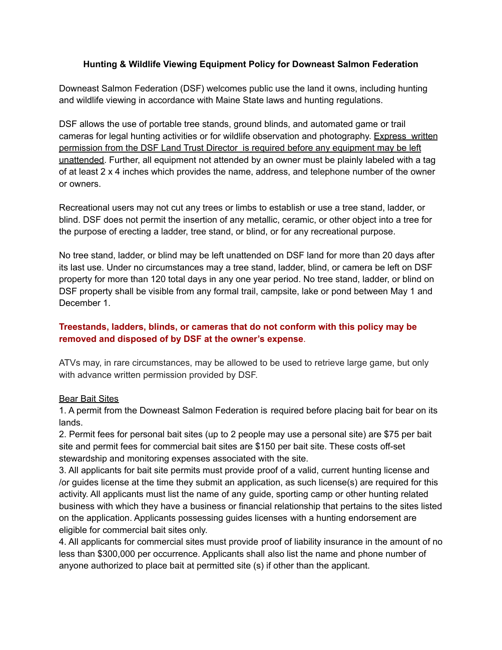## **Hunting & Wildlife Viewing Equipment Policy for Downeast Salmon Federation**

Downeast Salmon Federation (DSF) welcomes public use the land it owns, including hunting and wildlife viewing in accordance with Maine State laws and hunting regulations.

DSF allows the use of portable tree stands, ground blinds, and automated game or trail cameras for legal hunting activities or for wildlife observation and photography. Express written permission from the DSF Land Trust Director is required before any equipment may be left unattended. Further, all equipment not attended by an owner must be plainly labeled with a tag of at least 2 x 4 inches which provides the name, address, and telephone number of the owner or owners.

Recreational users may not cut any trees or limbs to establish or use a tree stand, ladder, or blind. DSF does not permit the insertion of any metallic, ceramic, or other object into a tree for the purpose of erecting a ladder, tree stand, or blind, or for any recreational purpose.

No tree stand, ladder, or blind may be left unattended on DSF land for more than 20 days after its last use. Under no circumstances may a tree stand, ladder, blind, or camera be left on DSF property for more than 120 total days in any one year period. No tree stand, ladder, or blind on DSF property shall be visible from any formal trail, campsite, lake or pond between May 1 and December 1.

## **Treestands, ladders, blinds, or cameras that do not conform with this policy may be removed and disposed of by DSF at the owner's expense**.

ATVs may, in rare circumstances, may be allowed to be used to retrieve large game, but only with advance written permission provided by DSF.

## Bear Bait Sites

1. A permit from the Downeast Salmon Federation is required before placing bait for bear on its lands.

2. Permit fees for personal bait sites (up to 2 people may use a personal site) are \$75 per bait site and permit fees for commercial bait sites are \$150 per bait site. These costs off-set stewardship and monitoring expenses associated with the site.

3. All applicants for bait site permits must provide proof of a valid, current hunting license and /or guides license at the time they submit an application, as such license(s) are required for this activity. All applicants must list the name of any guide, sporting camp or other hunting related business with which they have a business or financial relationship that pertains to the sites listed on the application. Applicants possessing guides licenses with a hunting endorsement are eligible for commercial bait sites only.

4. All applicants for commercial sites must provide proof of liability insurance in the amount of no less than \$300,000 per occurrence. Applicants shall also list the name and phone number of anyone authorized to place bait at permitted site (s) if other than the applicant.